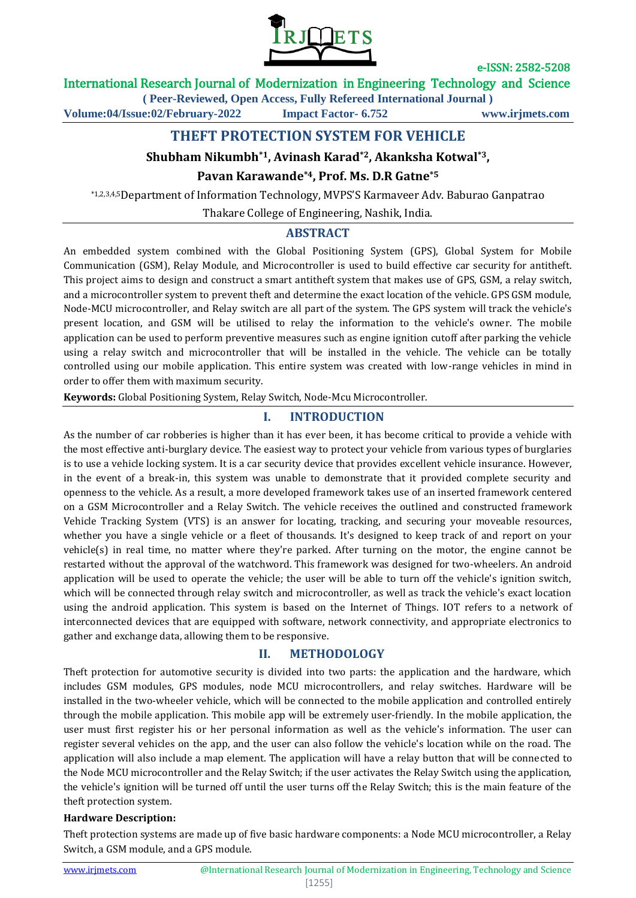

### International Research Journal of Modernization in Engineering Technology and Science

**( Peer-Reviewed, Open Access, Fully Refereed International Journal )**

**Volume:04/Issue:02/February-2022 Impact Factor- 6.752 www.irjmets.com**

# **THEFT PROTECTION SYSTEM FOR VEHICLE**

### **Shubham Nikumbh\*1, Avinash Karad\*2, Akanksha Kotwal\*3,**

### **Pavan Karawande\*4, Prof. Ms. D.R Gatne\*5**

\*1,2,3,4,5Department of Information Technology, MVPS'S Karmaveer Adv. Baburao Ganpatrao

Thakare College of Engineering, Nashik, India.

### **ABSTRACT**

An embedded system combined with the Global Positioning System (GPS), Global System for Mobile Communication (GSM), Relay Module, and Microcontroller is used to build effective car security for antitheft. This project aims to design and construct a smart antitheft system that makes use of GPS, GSM, a relay switch, and a microcontroller system to prevent theft and determine the exact location of the vehicle. GPS GSM module, Node-MCU microcontroller, and Relay switch are all part of the system. The GPS system will track the vehicle's present location, and GSM will be utilised to relay the information to the vehicle's owner. The mobile application can be used to perform preventive measures such as engine ignition cutoff after parking the vehicle using a relay switch and microcontroller that will be installed in the vehicle. The vehicle can be totally controlled using our mobile application. This entire system was created with low-range vehicles in mind in order to offer them with maximum security.

**Keywords:** Global Positioning System, Relay Switch, Node-Mcu Microcontroller.

### **I. INTRODUCTION**

As the number of car robberies is higher than it has ever been, it has become critical to provide a vehicle with the most effective anti-burglary device. The easiest way to protect your vehicle from various types of burglaries is to use a vehicle locking system. It is a car security device that provides excellent vehicle insurance. However, in the event of a break-in, this system was unable to demonstrate that it provided complete security and openness to the vehicle. As a result, a more developed framework takes use of an inserted framework centered on a GSM Microcontroller and a Relay Switch. The vehicle receives the outlined and constructed framework Vehicle Tracking System (VTS) is an answer for locating, tracking, and securing your moveable resources, whether you have a single vehicle or a fleet of thousands. It's designed to keep track of and report on your vehicle(s) in real time, no matter where they're parked. After turning on the motor, the engine cannot be restarted without the approval of the watchword. This framework was designed for two-wheelers. An android application will be used to operate the vehicle; the user will be able to turn off the vehicle's ignition switch, which will be connected through relay switch and microcontroller, as well as track the vehicle's exact location using the android application. This system is based on the Internet of Things. IOT refers to a network of interconnected devices that are equipped with software, network connectivity, and appropriate electronics to gather and exchange data, allowing them to be responsive.

### **II. METHODOLOGY**

Theft protection for automotive security is divided into two parts: the application and the hardware, which includes GSM modules, GPS modules, node MCU microcontrollers, and relay switches. Hardware will be installed in the two-wheeler vehicle, which will be connected to the mobile application and controlled entirely through the mobile application. This mobile app will be extremely user-friendly. In the mobile application, the user must first register his or her personal information as well as the vehicle's information. The user can register several vehicles on the app, and the user can also follow the vehicle's location while on the road. The application will also include a map element. The application will have a relay button that will be connected to the Node MCU microcontroller and the Relay Switch; if the user activates the Relay Switch using the application, the vehicle's ignition will be turned off until the user turns off the Relay Switch; this is the main feature of the theft protection system.

#### **Hardware Description:**

Theft protection systems are made up of five basic hardware components: a Node MCU microcontroller, a Relay Switch, a GSM module, and a GPS module.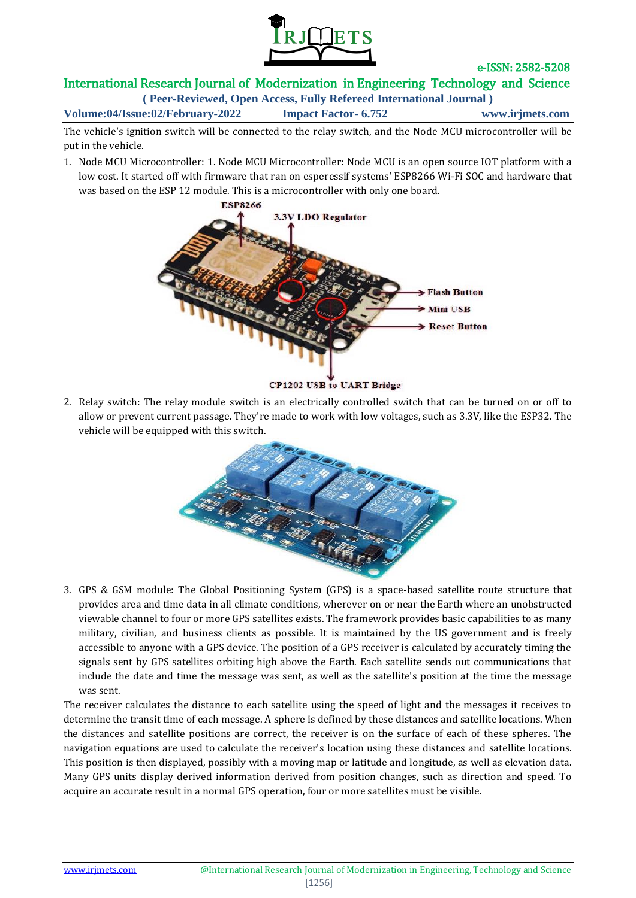

### International Research Journal of Modernization in Engineering Technology and Science

**( Peer-Reviewed, Open Access, Fully Refereed International Journal )**

**Volume:04/Issue:02/February-2022 Impact Factor- 6.752 www.irjmets.com**

The vehicle's ignition switch will be connected to the relay switch, and the Node MCU microcontroller will be put in the vehicle.

1. Node MCU Microcontroller: 1. Node MCU Microcontroller: Node MCU is an open source IOT platform with a low cost. It started off with firmware that ran on esperessif systems' ESP8266 Wi-Fi SOC and hardware that was based on the ESP 12 module. This is a microcontroller with only one board.



**CP1202 USB to UART Bridge** 

2. Relay switch: The relay module switch is an electrically controlled switch that can be turned on or off to allow or prevent current passage. They're made to work with low voltages, such as 3.3V, like the ESP32. The vehicle will be equipped with this switch.



3. GPS & GSM module: The Global Positioning System (GPS) is a space-based satellite route structure that provides area and time data in all climate conditions, wherever on or near the Earth where an unobstructed viewable channel to four or more GPS satellites exists. The framework provides basic capabilities to as many military, civilian, and business clients as possible. It is maintained by the US government and is freely accessible to anyone with a GPS device. The position of a GPS receiver is calculated by accurately timing the signals sent by GPS satellites orbiting high above the Earth. Each satellite sends out communications that include the date and time the message was sent, as well as the satellite's position at the time the message was sent.

The receiver calculates the distance to each satellite using the speed of light and the messages it receives to determine the transit time of each message. A sphere is defined by these distances and satellite locations. When the distances and satellite positions are correct, the receiver is on the surface of each of these spheres. The navigation equations are used to calculate the receiver's location using these distances and satellite locations. This position is then displayed, possibly with a moving map or latitude and longitude, as well as elevation data. Many GPS units display derived information derived from position changes, such as direction and speed. To acquire an accurate result in a normal GPS operation, four or more satellites must be visible.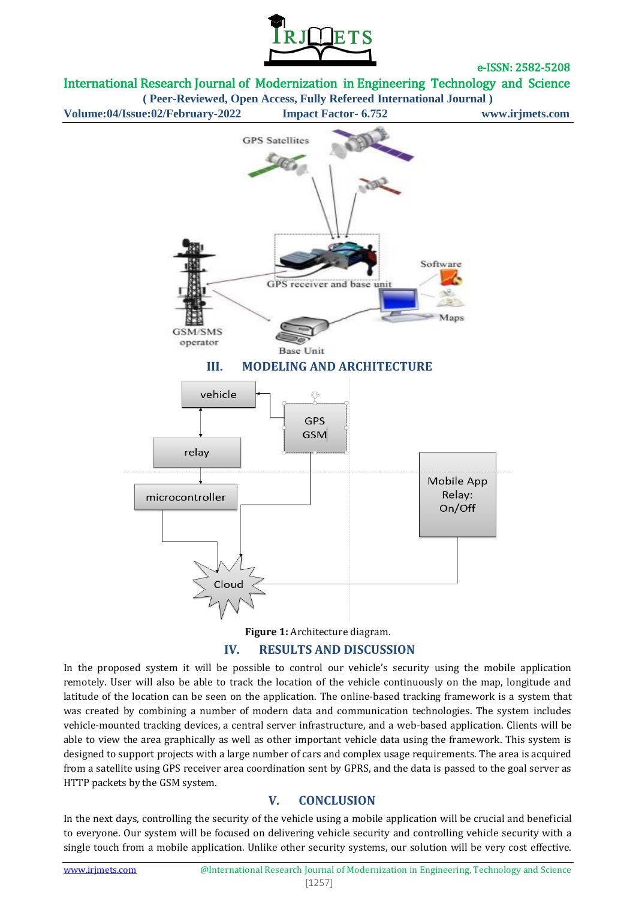

International Research Journal of Modernization in Engineering Technology and Science

**( Peer-Reviewed, Open Access, Fully Refereed International Journal ) Volume:04/Issue:02/February-2022 Impact Factor- 6.752 www.irjmets.com**



**Figure 1:** Architecture diagram.

### **IV. RESULTS AND DISCUSSION**

In the proposed system it will be possible to control our vehicle's security using the mobile application remotely. User will also be able to track the location of the vehicle continuously on the map, longitude and latitude of the location can be seen on the application. The online-based tracking framework is a system that was created by combining a number of modern data and communication technologies. The system includes vehicle-mounted tracking devices, a central server infrastructure, and a web-based application. Clients will be able to view the area graphically as well as other important vehicle data using the framework. This system is designed to support projects with a large number of cars and complex usage requirements. The area is acquired from a satellite using GPS receiver area coordination sent by GPRS, and the data is passed to the goal server as HTTP packets by the GSM system.

# **V. CONCLUSION**

In the next days, controlling the security of the vehicle using a mobile application will be crucial and beneficial to everyone. Our system will be focused on delivering vehicle security and controlling vehicle security with a single touch from a mobile application. Unlike other security systems, our solution will be very cost effective.